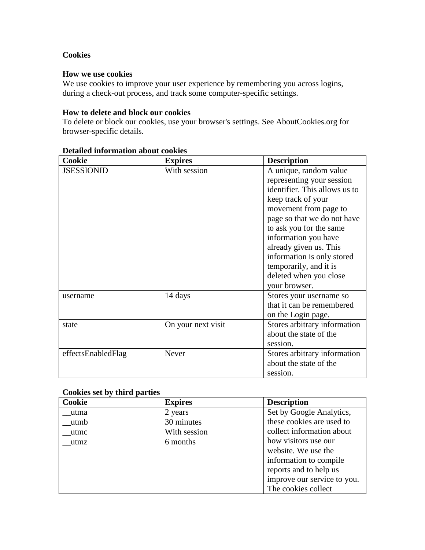## **Cookies**

### **How we use cookies**

We use cookies to improve your user experience by remembering you across logins, during a check-out process, and track some computer-specific settings.

#### **How to delete and block our cookies**

To delete or block our cookies, use your browser's settings. See AboutCookies.org for browser-specific details.

| Cookie             | <b>Expires</b>     | <b>Description</b>            |
|--------------------|--------------------|-------------------------------|
| <b>JSESSIONID</b>  | With session       | A unique, random value        |
|                    |                    | representing your session     |
|                    |                    | identifier. This allows us to |
|                    |                    | keep track of your            |
|                    |                    | movement from page to         |
|                    |                    | page so that we do not have   |
|                    |                    | to ask you for the same       |
|                    |                    | information you have          |
|                    |                    | already given us. This        |
|                    |                    | information is only stored    |
|                    |                    | temporarily, and it is        |
|                    |                    | deleted when you close        |
|                    |                    | your browser.                 |
| username           | 14 days            | Stores your username so       |
|                    |                    | that it can be remembered     |
|                    |                    | on the Login page.            |
| state              | On your next visit | Stores arbitrary information  |
|                    |                    | about the state of the        |
|                    |                    | session.                      |
| effectsEnabledFlag | <b>Never</b>       | Stores arbitrary information  |
|                    |                    | about the state of the        |
|                    |                    | session.                      |

### **Detailed information about cookies**

### **Cookies set by third parties**

| Cookie | <b>Expires</b> | <b>Description</b>          |
|--------|----------------|-----------------------------|
| utma   | 2 years        | Set by Google Analytics,    |
| utmb   | 30 minutes     | these cookies are used to   |
| utmc   | With session   | collect information about   |
| utmz   | 6 months       | how visitors use our        |
|        |                | website. We use the         |
|        |                | information to compile      |
|        |                | reports and to help us      |
|        |                | improve our service to you. |
|        |                | The cookies collect         |